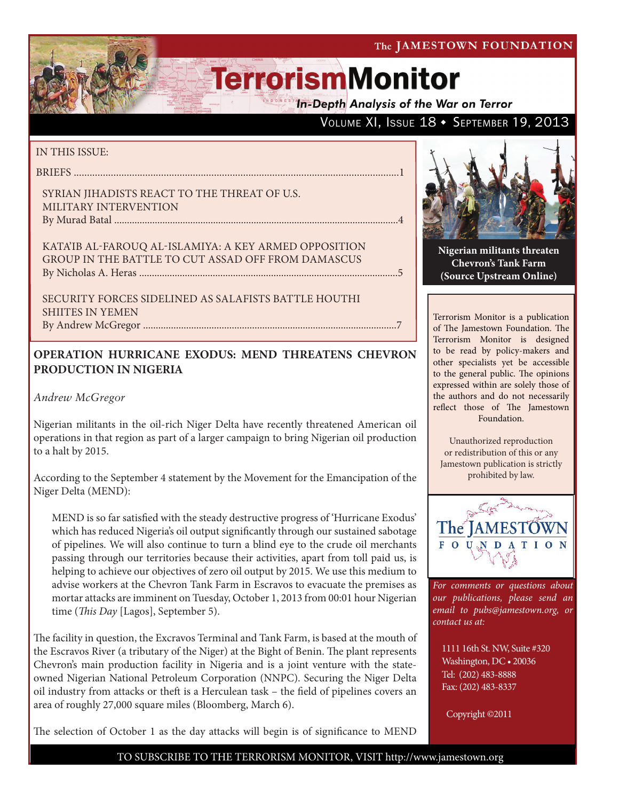**In-Depth Analysis of the War on Terror** 

## VOLUME XI, ISSUE 18 + SEPTEMBER 19, 2013

### IN THIS ISSUE:

briefs ...........................................................................................................................1

SYRIAN JIHADISTS REACT TO THE THREAT OF U.S. Military Intervention By Murad Batal ................................................................................................................4

Kata'ib al-Farouq al-Islamiya: A Key Armed Opposition Group in the Battle to Cut Assad Off from Damascus by Nicholas A. Heras ......................................................................................................5

Security Forces Sidelined as Salafists Battle Houthi SHIITES IN YEMEN By Andrew McGregor ....................................................................................................7

## **OPERATION HURRICANE EXODUS: MEND THREATENS CHEVRON PRODUCTION IN NIGERIA**

*Andrew McGregor*

Nigerian militants in the oil-rich Niger Delta have recently threatened American oil operations in that region as part of a larger campaign to bring Nigerian oil production to a halt by 2015.

According to the September 4 statement by the Movement for the Emancipation of the Niger Delta (MEND):

MEND is so far satisfied with the steady destructive progress of 'Hurricane Exodus' which has reduced Nigeria's oil output significantly through our sustained sabotage of pipelines. We will also continue to turn a blind eye to the crude oil merchants passing through our territories because their activities, apart from toll paid us, is helping to achieve our objectives of zero oil output by 2015. We use this medium to advise workers at the Chevron Tank Farm in Escravos to evacuate the premises as mortar attacks are imminent on Tuesday, October 1, 2013 from 00:01 hour Nigerian time (*This Day* [Lagos], September 5).

The facility in question, the Excravos Terminal and Tank Farm, is based at the mouth of the Escravos River (a tributary of the Niger) at the Bight of Benin. The plant represents Chevron's main production facility in Nigeria and is a joint venture with the stateowned Nigerian National Petroleum Corporation (NNPC). Securing the Niger Delta oil industry from attacks or theft is a Herculean task – the field of pipelines covers an area of roughly 27,000 square miles (Bloomberg, March 6).

The selection of October 1 as the day attacks will begin is of significance to MEND



**Nigerian militants threaten Chevron's Tank Farm (Source Upstream Online)**

Terrorism Monitor is a publication of The Jamestown Foundation. The Terrorism Monitor is designed to be read by policy-makers and other specialists yet be accessible to the general public. The opinions expressed within are solely those of the authors and do not necessarily reflect those of The Jamestown Foundation.

Unauthorized reproduction or redistribution of this or any Jamestown publication is strictly prohibited by law.



*For comments or questions about our publications, please send an email to pubs@jamestown.org, or contact us at:* 

1111 16th St. NW, Suite #320 Washington, DC • 20036 Tel: (202) 483-8888 Fax: (202) 483-8337

Copyright ©2011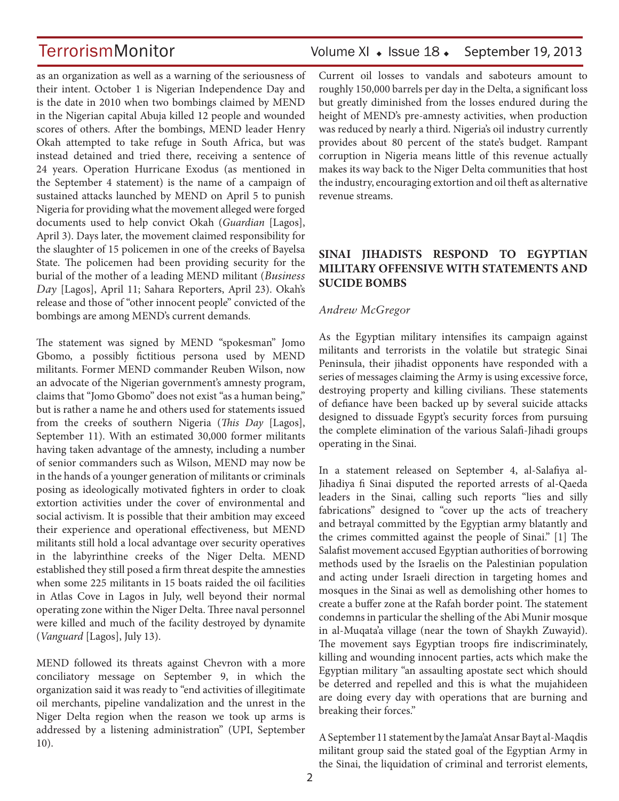as an organization as well as a warning of the seriousness of their intent. October 1 is Nigerian Independence Day and is the date in 2010 when two bombings claimed by MEND in the Nigerian capital Abuja killed 12 people and wounded scores of others. After the bombings, MEND leader Henry Okah attempted to take refuge in South Africa, but was instead detained and tried there, receiving a sentence of 24 years. Operation Hurricane Exodus (as mentioned in the September 4 statement) is the name of a campaign of sustained attacks launched by MEND on April 5 to punish Nigeria for providing what the movement alleged were forged documents used to help convict Okah (*Guardian* [Lagos], April 3). Days later, the movement claimed responsibility for the slaughter of 15 policemen in one of the creeks of Bayelsa State. The policemen had been providing security for the burial of the mother of a leading MEND militant (*Business Day* [Lagos], April 11; Sahara Reporters, April 23). Okah's release and those of "other innocent people" convicted of the bombings are among MEND's current demands.

The statement was signed by MEND "spokesman" Jomo Gbomo, a possibly fictitious persona used by MEND militants. Former MEND commander Reuben Wilson, now an advocate of the Nigerian government's amnesty program, claims that "Jomo Gbomo" does not exist "as a human being," but is rather a name he and others used for statements issued from the creeks of southern Nigeria (*This Day* [Lagos], September 11). With an estimated 30,000 former militants having taken advantage of the amnesty, including a number of senior commanders such as Wilson, MEND may now be in the hands of a younger generation of militants or criminals posing as ideologically motivated fighters in order to cloak extortion activities under the cover of environmental and social activism. It is possible that their ambition may exceed their experience and operational effectiveness, but MEND militants still hold a local advantage over security operatives in the labyrinthine creeks of the Niger Delta. MEND established they still posed a firm threat despite the amnesties when some 225 militants in 15 boats raided the oil facilities in Atlas Cove in Lagos in July, well beyond their normal operating zone within the Niger Delta. Three naval personnel were killed and much of the facility destroyed by dynamite (*Vanguard* [Lagos], July 13).

MEND followed its threats against Chevron with a more conciliatory message on September 9, in which the organization said it was ready to "end activities of illegitimate oil merchants, pipeline vandalization and the unrest in the Niger Delta region when the reason we took up arms is addressed by a listening administration" (UPI, September 10).

## TerrorismMonitor Volume XI + Issue 18 + September 19, 2013

Current oil losses to vandals and saboteurs amount to roughly 150,000 barrels per day in the Delta, a significant loss but greatly diminished from the losses endured during the height of MEND's pre-amnesty activities, when production was reduced by nearly a third. Nigeria's oil industry currently provides about 80 percent of the state's budget. Rampant corruption in Nigeria means little of this revenue actually makes its way back to the Niger Delta communities that host the industry, encouraging extortion and oil theft as alternative revenue streams.

## **SINAI JIHADISTS RESPOND TO EGYPTIAN MILITARY OFFENSIVE WITH STATEMENTS AND SUCIDE BOMBS**

### *Andrew McGregor*

As the Egyptian military intensifies its campaign against militants and terrorists in the volatile but strategic Sinai Peninsula, their jihadist opponents have responded with a series of messages claiming the Army is using excessive force, destroying property and killing civilians. These statements of defiance have been backed up by several suicide attacks designed to dissuade Egypt's security forces from pursuing the complete elimination of the various Salafi-Jihadi groups operating in the Sinai.

In a statement released on September 4, al-Salafiya al-Jihadiya fi Sinai disputed the reported arrests of al-Qaeda leaders in the Sinai, calling such reports "lies and silly fabrications" designed to "cover up the acts of treachery and betrayal committed by the Egyptian army blatantly and the crimes committed against the people of Sinai." [1] The Salafist movement accused Egyptian authorities of borrowing methods used by the Israelis on the Palestinian population and acting under Israeli direction in targeting homes and mosques in the Sinai as well as demolishing other homes to create a buffer zone at the Rafah border point. The statement condemns in particular the shelling of the Abi Munir mosque in al-Muqata'a village (near the town of Shaykh Zuwayid). The movement says Egyptian troops fire indiscriminately, killing and wounding innocent parties, acts which make the Egyptian military "an assaulting apostate sect which should be deterred and repelled and this is what the mujahideen are doing every day with operations that are burning and breaking their forces."

A September 11 statement by the Jama'at Ansar Bayt al-Maqdis militant group said the stated goal of the Egyptian Army in the Sinai, the liquidation of criminal and terrorist elements,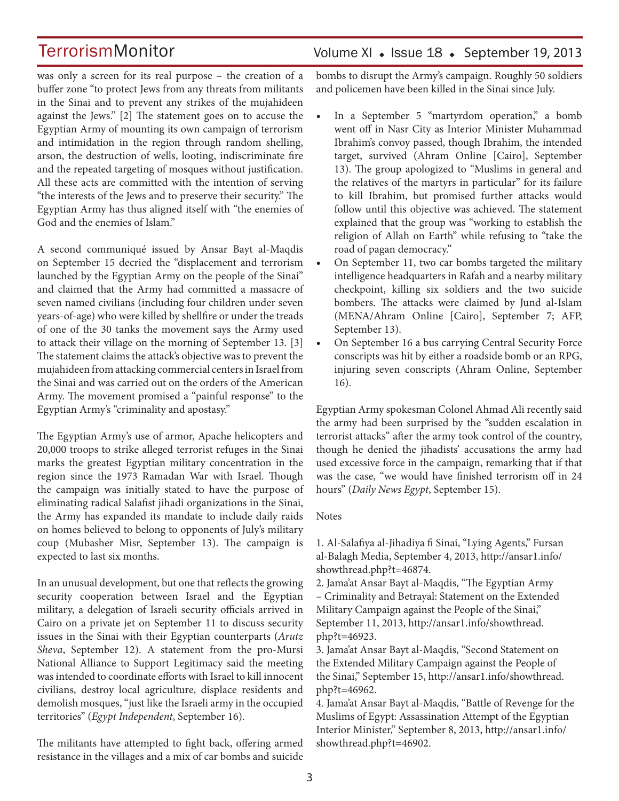was only a screen for its real purpose – the creation of a buffer zone "to protect Jews from any threats from militants in the Sinai and to prevent any strikes of the mujahideen against the Jews." [2] The statement goes on to accuse the Egyptian Army of mounting its own campaign of terrorism and intimidation in the region through random shelling, arson, the destruction of wells, looting, indiscriminate fire and the repeated targeting of mosques without justification. All these acts are committed with the intention of serving "the interests of the Jews and to preserve their security." The Egyptian Army has thus aligned itself with "the enemies of God and the enemies of Islam."

A second communiqué issued by Ansar Bayt al-Maqdis on September 15 decried the "displacement and terrorism launched by the Egyptian Army on the people of the Sinai" and claimed that the Army had committed a massacre of seven named civilians (including four children under seven years-of-age) who were killed by shellfire or under the treads of one of the 30 tanks the movement says the Army used to attack their village on the morning of September 13. [3] The statement claims the attack's objective was to prevent the mujahideen from attacking commercial centers in Israel from the Sinai and was carried out on the orders of the American Army. The movement promised a "painful response" to the Egyptian Army's "criminality and apostasy."

The Egyptian Army's use of armor, Apache helicopters and 20,000 troops to strike alleged terrorist refuges in the Sinai marks the greatest Egyptian military concentration in the region since the 1973 Ramadan War with Israel. Though the campaign was initially stated to have the purpose of eliminating radical Salafist jihadi organizations in the Sinai, the Army has expanded its mandate to include daily raids on homes believed to belong to opponents of July's military coup (Mubasher Misr, September 13). The campaign is expected to last six months.

In an unusual development, but one that reflects the growing security cooperation between Israel and the Egyptian military, a delegation of Israeli security officials arrived in Cairo on a private jet on September 11 to discuss security issues in the Sinai with their Egyptian counterparts (*Arutz Sheva*, September 12). A statement from the pro-Mursi National Alliance to Support Legitimacy said the meeting was intended to coordinate efforts with Israel to kill innocent civilians, destroy local agriculture, displace residents and demolish mosques, "just like the Israeli army in the occupied territories" (*Egypt Independent*, September 16).

The militants have attempted to fight back, offering armed resistance in the villages and a mix of car bombs and suicide

## Volume XI · Issue 18 · September 19, 2013

bombs to disrupt the Army's campaign. Roughly 50 soldiers and policemen have been killed in the Sinai since July.

- In a September 5 "martyrdom operation," a bomb went off in Nasr City as Interior Minister Muhammad Ibrahim's convoy passed, though Ibrahim, the intended target, survived (Ahram Online [Cairo], September 13). The group apologized to "Muslims in general and the relatives of the martyrs in particular" for its failure to kill Ibrahim, but promised further attacks would follow until this objective was achieved. The statement explained that the group was "working to establish the religion of Allah on Earth" while refusing to "take the road of pagan democracy."
- On September 11, two car bombs targeted the military intelligence headquarters in Rafah and a nearby military checkpoint, killing six soldiers and the two suicide bombers. The attacks were claimed by Jund al-Islam (MENA/Ahram Online [Cairo], September 7; AFP, September 13).
- On September 16 a bus carrying Central Security Force conscripts was hit by either a roadside bomb or an RPG, injuring seven conscripts (Ahram Online, September 16).

Egyptian Army spokesman Colonel Ahmad Ali recently said the army had been surprised by the "sudden escalation in terrorist attacks" after the army took control of the country, though he denied the jihadists' accusations the army had used excessive force in the campaign, remarking that if that was the case, "we would have finished terrorism off in 24 hours" (*Daily News Egypt*, September 15).

### Notes

1. Al-Salafiya al-Jihadiya fi Sinai, "Lying Agents," Fursan al-Balagh Media, September 4, 2013, http://ansar1.info/ showthread.php?t=46874.

2. Jama'at Ansar Bayt al-Maqdis, "The Egyptian Army – Criminality and Betrayal: Statement on the Extended Military Campaign against the People of the Sinai," September 11, 2013, http://ansar1.info/showthread. php?t=46923.

3. Jama'at Ansar Bayt al-Maqdis, "Second Statement on the Extended Military Campaign against the People of the Sinai," September 15, http://ansar1.info/showthread. php?t=46962.

4. Jama'at Ansar Bayt al-Maqdis, "Battle of Revenge for the Muslims of Egypt: Assassination Attempt of the Egyptian Interior Minister," September 8, 2013, http://ansar1.info/ showthread.php?t=46902.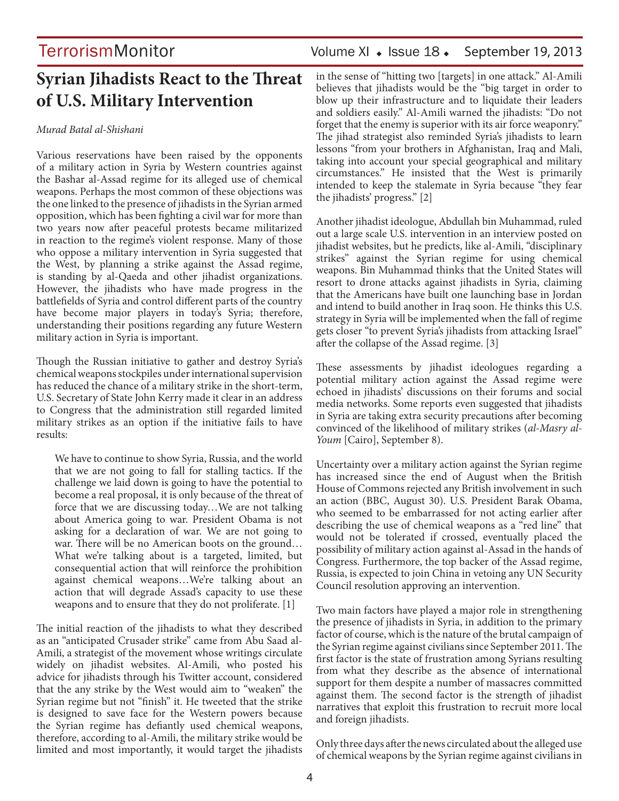## **Syrian Jihadists React to the Threat of U.S. Military Intervention**

### *Murad Batal al-Shishani*

Various reservations have been raised by the opponents of a military action in Syria by Western countries against the Bashar al-Assad regime for its alleged use of chemical weapons. Perhaps the most common of these objections was the one linked to the presence of jihadists in the Syrian armed opposition, which has been fighting a civil war for more than two years now after peaceful protests became militarized in reaction to the regime's violent response. Many of those who oppose a military intervention in Syria suggested that the West, by planning a strike against the Assad regime, is standing by al-Qaeda and other jihadist organizations. However, the jihadists who have made progress in the battlefields of Syria and control different parts of the country have become major players in today's Syria; therefore, understanding their positions regarding any future Western military action in Syria is important.

Though the Russian initiative to gather and destroy Syria's chemical weapons stockpiles under international supervision has reduced the chance of a military strike in the short-term, U.S. Secretary of State John Kerry made it clear in an address to Congress that the administration still regarded limited military strikes as an option if the initiative fails to have results:

We have to continue to show Syria, Russia, and the world that we are not going to fall for stalling tactics. If the challenge we laid down is going to have the potential to become a real proposal, it is only because of the threat of force that we are discussing today…We are not talking about America going to war. President Obama is not asking for a declaration of war. We are not going to war. There will be no American boots on the ground… What we're talking about is a targeted, limited, but consequential action that will reinforce the prohibition against chemical weapons…We're talking about an action that will degrade Assad's capacity to use these weapons and to ensure that they do not proliferate. [1]

The initial reaction of the jihadists to what they described as an "anticipated Crusader strike" came from Abu Saad al-Amili, a strategist of the movement whose writings circulate widely on jihadist websites. Al-Amili, who posted his advice for jihadists through his Twitter account, considered that the any strike by the West would aim to "weaken" the Syrian regime but not "finish" it. He tweeted that the strike is designed to save face for the Western powers because the Syrian regime has defiantly used chemical weapons, therefore, according to al-Amili, the military strike would be limited and most importantly, it would target the jihadists

## TerrorismMonitor Volume XI • Issue 18 • September 19, 2013

in the sense of "hitting two [targets] in one attack." Al-Amili believes that jihadists would be the "big target in order to blow up their infrastructure and to liquidate their leaders and soldiers easily." Al-Amili warned the jihadists: "Do not forget that the enemy is superior with its air force weaponry." The jihad strategist also reminded Syria's jihadists to learn lessons "from your brothers in Afghanistan, Iraq and Mali, taking into account your special geographical and military circumstances." He insisted that the West is primarily intended to keep the stalemate in Syria because "they fear the jihadists' progress." [2]

Another jihadist ideologue, Abdullah bin Muhammad, ruled out a large scale U.S. intervention in an interview posted on jihadist websites, but he predicts, like al-Amili, "disciplinary strikes" against the Syrian regime for using chemical weapons. Bin Muhammad thinks that the United States will resort to drone attacks against jihadists in Syria, claiming that the Americans have built one launching base in Jordan and intend to build another in Iraq soon. He thinks this U.S. strategy in Syria will be implemented when the fall of regime gets closer "to prevent Syria's jihadists from attacking Israel" after the collapse of the Assad regime. [3]

These assessments by jihadist ideologues regarding a potential military action against the Assad regime were echoed in jihadists' discussions on their forums and social media networks. Some reports even suggested that jihadists in Syria are taking extra security precautions after becoming convinced of the likelihood of military strikes (*al-Masry al-Youm* [Cairo], September 8).

Uncertainty over a military action against the Syrian regime has increased since the end of August when the British House of Commons rejected any British involvement in such an action (BBC, August 30). U.S. President Barak Obama, who seemed to be embarrassed for not acting earlier after describing the use of chemical weapons as a "red line" that would not be tolerated if crossed, eventually placed the possibility of military action against al-Assad in the hands of Congress. Furthermore, the top backer of the Assad regime, Russia, is expected to join China in vetoing any UN Security Council resolution approving an intervention.

Two main factors have played a major role in strengthening the presence of jihadists in Syria, in addition to the primary factor of course, which is the nature of the brutal campaign of the Syrian regime against civilians since September 2011. The first factor is the state of frustration among Syrians resulting from what they describe as the absence of international support for them despite a number of massacres committed against them. The second factor is the strength of jihadist narratives that exploit this frustration to recruit more local and foreign jihadists.

Only three days after the news circulated about the alleged use of chemical weapons by the Syrian regime against civilians in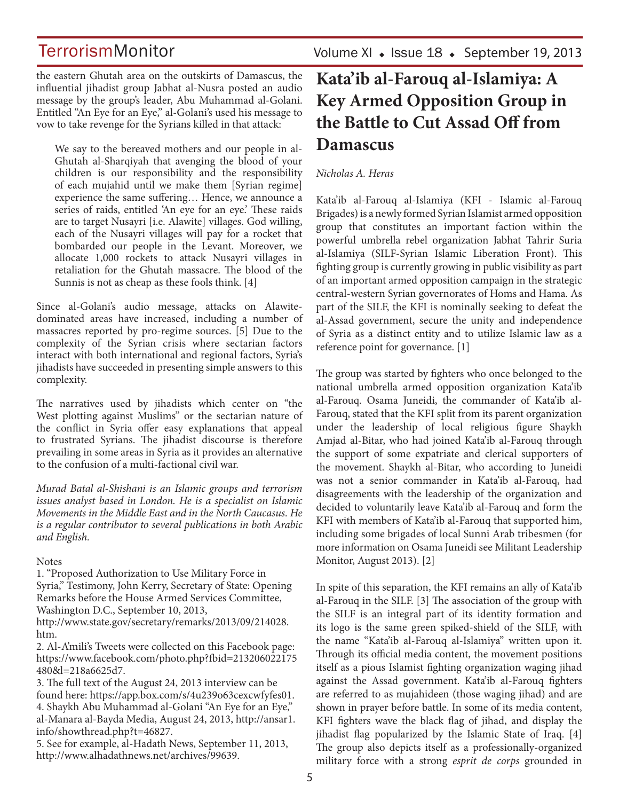Volume XI  $\;\bullet\;$  Issue 18  $\;\bullet\;$  September 19, 2013

the eastern Ghutah area on the outskirts of Damascus, the influential jihadist group Jabhat al-Nusra posted an audio message by the group's leader, Abu Muhammad al-Golani. Entitled "An Eye for an Eye," al-Golani's used his message to vow to take revenge for the Syrians killed in that attack:

We say to the bereaved mothers and our people in al-Ghutah al-Sharqiyah that avenging the blood of your children is our responsibility and the responsibility of each mujahid until we make them [Syrian regime] experience the same suffering… Hence, we announce a series of raids, entitled 'An eye for an eye.' These raids are to target Nusayri [i.e. Alawite] villages. God willing, each of the Nusayri villages will pay for a rocket that bombarded our people in the Levant. Moreover, we allocate 1,000 rockets to attack Nusayri villages in retaliation for the Ghutah massacre. The blood of the Sunnis is not as cheap as these fools think. [4]

Since al-Golani's audio message, attacks on Alawitedominated areas have increased, including a number of massacres reported by pro-regime sources. [5] Due to the complexity of the Syrian crisis where sectarian factors interact with both international and regional factors, Syria's jihadists have succeeded in presenting simple answers to this complexity.

The narratives used by jihadists which center on "the West plotting against Muslims" or the sectarian nature of the conflict in Syria offer easy explanations that appeal to frustrated Syrians. The jihadist discourse is therefore prevailing in some areas in Syria as it provides an alternative to the confusion of a multi-factional civil war.

*Murad Batal al-Shishani is an Islamic groups and terrorism issues analyst based in London. He is a specialist on Islamic Movements in the Middle East and in the North Caucasus. He is a regular contributor to several publications in both Arabic and English.* 

### Notes

1. "Proposed Authorization to Use Military Force in Syria," Testimony, John Kerry, Secretary of State: Opening Remarks before the House Armed Services Committee, Washington D.C., September 10, 2013,

http://www.state.gov/secretary/remarks/2013/09/214028. htm.

2. Al-A'mili's Tweets were collected on this Facebook page: https://www.facebook.com/photo.php?fbid=213206022175 480&l=218a6625d7.

3. The full text of the August 24, 2013 interview can be found here: https://app.box.com/s/4u239o63cexcwfyfes01. 4. Shaykh Abu Muhammad al-Golani "An Eye for an Eye," al-Manara al-Bayda Media, August 24, 2013, http://ansar1. info/showthread.php?t=46827.

5. See for example, al-Hadath News, September 11, 2013, http://www.alhadathnews.net/archives/99639.

## **Kata'ib al-Farouq al-Islamiya: A Key Armed Opposition Group in the Battle to Cut Assad Off from Damascus**

## *Nicholas A. Heras*

Kata'ib al-Farouq al-Islamiya (KFI - Islamic al-Farouq Brigades) is a newly formed Syrian Islamist armed opposition group that constitutes an important faction within the powerful umbrella rebel organization Jabhat Tahrir Suria al-Islamiya (SILF-Syrian Islamic Liberation Front). This fighting group is currently growing in public visibility as part of an important armed opposition campaign in the strategic central-western Syrian governorates of Homs and Hama. As part of the SILF, the KFI is nominally seeking to defeat the al-Assad government, secure the unity and independence of Syria as a distinct entity and to utilize Islamic law as a reference point for governance. [1]

The group was started by fighters who once belonged to the national umbrella armed opposition organization Kata'ib al-Farouq. Osama Juneidi, the commander of Kata'ib al-Farouq, stated that the KFI split from its parent organization under the leadership of local religious figure Shaykh Amjad al-Bitar, who had joined Kata'ib al-Farouq through the support of some expatriate and clerical supporters of the movement. Shaykh al-Bitar, who according to Juneidi was not a senior commander in Kata'ib al-Farouq, had disagreements with the leadership of the organization and decided to voluntarily leave Kata'ib al-Farouq and form the KFI with members of Kata'ib al-Farouq that supported him, including some brigades of local Sunni Arab tribesmen (for more information on Osama Juneidi see Militant Leadership Monitor, August 2013). [2]

In spite of this separation, the KFI remains an ally of Kata'ib al-Farouq in the SILF. [3] The association of the group with the SILF is an integral part of its identity formation and its logo is the same green spiked-shield of the SILF, with the name "Kata'ib al-Farouq al-Islamiya" written upon it. Through its official media content, the movement positions itself as a pious Islamist fighting organization waging jihad against the Assad government. Kata'ib al-Farouq fighters are referred to as mujahideen (those waging jihad) and are shown in prayer before battle. In some of its media content, KFI fighters wave the black flag of jihad, and display the jihadist flag popularized by the Islamic State of Iraq. [4] The group also depicts itself as a professionally-organized military force with a strong *esprit de corps* grounded in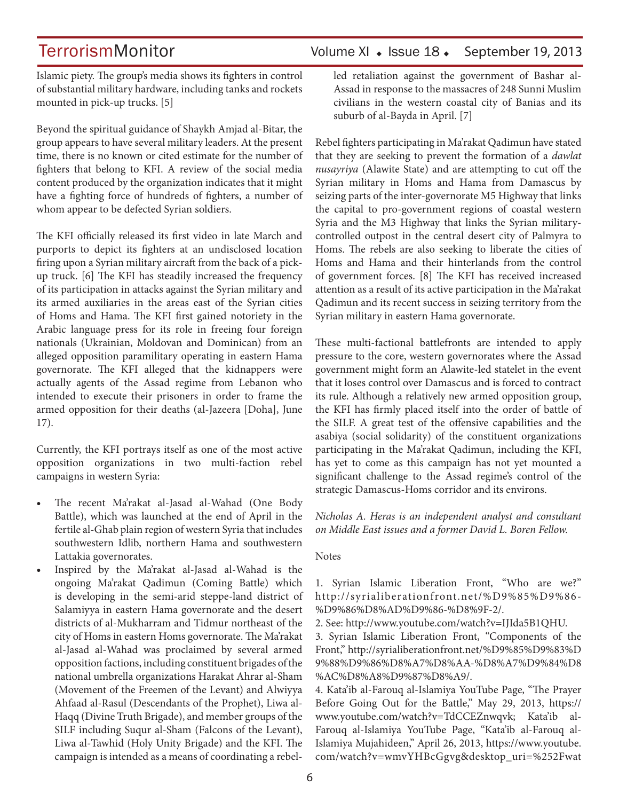## TerrorismMonitor Volume XI + Issue 18 + September 19, 2013

Islamic piety. The group's media shows its fighters in control of substantial military hardware, including tanks and rockets mounted in pick-up trucks. [5]

Beyond the spiritual guidance of Shaykh Amjad al-Bitar, the group appears to have several military leaders. At the present time, there is no known or cited estimate for the number of fighters that belong to KFI. A review of the social media content produced by the organization indicates that it might have a fighting force of hundreds of fighters, a number of whom appear to be defected Syrian soldiers.

The KFI officially released its first video in late March and purports to depict its fighters at an undisclosed location firing upon a Syrian military aircraft from the back of a pickup truck. [6] The KFI has steadily increased the frequency of its participation in attacks against the Syrian military and its armed auxiliaries in the areas east of the Syrian cities of Homs and Hama. The KFI first gained notoriety in the Arabic language press for its role in freeing four foreign nationals (Ukrainian, Moldovan and Dominican) from an alleged opposition paramilitary operating in eastern Hama governorate. The KFI alleged that the kidnappers were actually agents of the Assad regime from Lebanon who intended to execute their prisoners in order to frame the armed opposition for their deaths (al-Jazeera [Doha], June 17).

Currently, the KFI portrays itself as one of the most active opposition organizations in two multi-faction rebel campaigns in western Syria:

- The recent Ma'rakat al-Jasad al-Wahad (One Body Battle), which was launched at the end of April in the fertile al-Ghab plain region of western Syria that includes southwestern Idlib, northern Hama and southwestern Lattakia governorates.
- Inspired by the Ma'rakat al-Jasad al-Wahad is the ongoing Ma'rakat Qadimun (Coming Battle) which is developing in the semi-arid steppe-land district of Salamiyya in eastern Hama governorate and the desert districts of al-Mukharram and Tidmur northeast of the city of Homs in eastern Homs governorate. The Ma'rakat al-Jasad al-Wahad was proclaimed by several armed opposition factions, including constituent brigades of the national umbrella organizations Harakat Ahrar al-Sham (Movement of the Freemen of the Levant) and Alwiyya Ahfaad al-Rasul (Descendants of the Prophet), Liwa al-Haqq (Divine Truth Brigade), and member groups of the SILF including Suqur al-Sham (Falcons of the Levant), Liwa al-Tawhid (Holy Unity Brigade) and the KFI. The campaign is intended as a means of coordinating a rebel-

led retaliation against the government of Bashar al-Assad in response to the massacres of 248 Sunni Muslim civilians in the western coastal city of Banias and its suburb of al-Bayda in April. [7]

Rebel fighters participating in Ma'rakat Qadimun have stated that they are seeking to prevent the formation of a *dawlat nusayriya* (Alawite State) and are attempting to cut off the Syrian military in Homs and Hama from Damascus by seizing parts of the inter-governorate M5 Highway that links the capital to pro-government regions of coastal western Syria and the M3 Highway that links the Syrian militarycontrolled outpost in the central desert city of Palmyra to Homs. The rebels are also seeking to liberate the cities of Homs and Hama and their hinterlands from the control of government forces. [8] The KFI has received increased attention as a result of its active participation in the Ma'rakat Qadimun and its recent success in seizing territory from the Syrian military in eastern Hama governorate.

These multi-factional battlefronts are intended to apply pressure to the core, western governorates where the Assad government might form an Alawite-led statelet in the event that it loses control over Damascus and is forced to contract its rule. Although a relatively new armed opposition group, the KFI has firmly placed itself into the order of battle of the SILF. A great test of the offensive capabilities and the asabiya (social solidarity) of the constituent organizations participating in the Ma'rakat Qadimun, including the KFI, has yet to come as this campaign has not yet mounted a significant challenge to the Assad regime's control of the strategic Damascus-Homs corridor and its environs.

*Nicholas A. Heras is an independent analyst and consultant on Middle East issues and a former David L. Boren Fellow.*

### **Notes**

1. Syrian Islamic Liberation Front, "Who are we?" http://syrialiberationfront.net/%D9%85%D9%86- %D9%86%D8%AD%D9%86-%D8%9F-2/.

2. See: http://www.youtube.com/watch?v=IJIda5B1QHU.

3. Syrian Islamic Liberation Front, "Components of the Front," http://syrialiberationfront.net/%D9%85%D9%83%D 9%88%D9%86%D8%A7%D8%AA-%D8%A7%D9%84%D8 %AC%D8%A8%D9%87%D8%A9/.

4. Kata'ib al-Farouq al-Islamiya YouTube Page, "The Prayer Before Going Out for the Battle," May 29, 2013, https:// www.youtube.com/watch?v=TdCCEZnwqvk; Kata'ib al-Farouq al-Islamiya YouTube Page, "Kata'ib al-Farouq al-Islamiya Mujahideen," April 26, 2013, https://www.youtube. com/watch?v=wmvYHBcGgvg&desktop\_uri=%252Fwat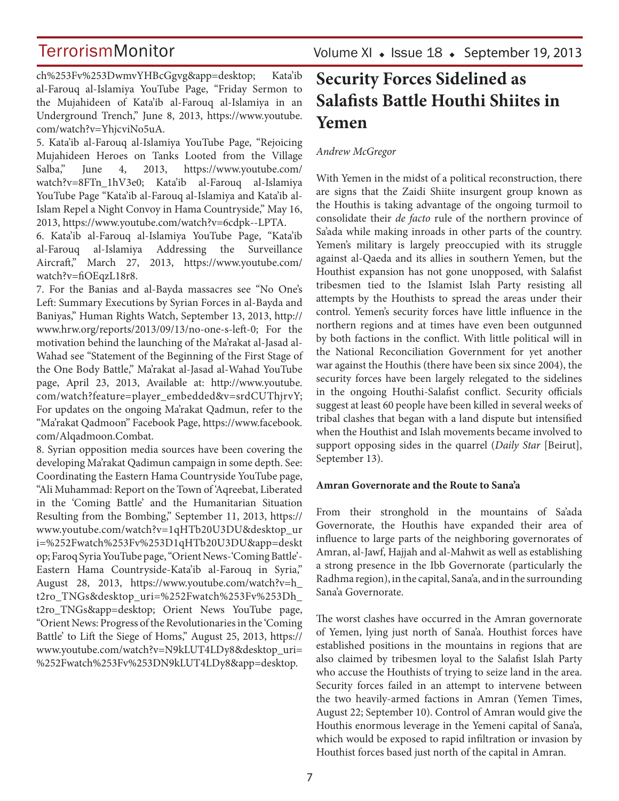ch%253Fv%253DwmvYHBcGgvg&app=desktop; Kata'ib al-Farouq al-Islamiya YouTube Page, "Friday Sermon to the Mujahideen of Kata'ib al-Farouq al-Islamiya in an Underground Trench," June 8, 2013, https://www.youtube. com/watch?v=YhjcviNo5uA.

5. Kata'ib al-Farouq al-Islamiya YouTube Page, "Rejoicing Mujahideen Heroes on Tanks Looted from the Village Salba," June 4, 2013, https://www.youtube.com/ watch?v=8FTn\_1hV3e0; Kata'ib al-Farouq al-Islamiya YouTube Page "Kata'ib al-Farouq al-Islamiya and Kata'ib al-Islam Repel a Night Convoy in Hama Countryside," May 16, 2013, https://www.youtube.com/watch?v=6cdpk--LPTA.

6. Kata'ib al-Farouq al-Islamiya YouTube Page, "Kata'ib al-Farouq al-Islamiya Addressing the Surveillance Aircraft," March 27, 2013, https://www.youtube.com/ watch?v=fiOEqzL18r8.

7. For the Banias and al-Bayda massacres see "No One's Left: Summary Executions by Syrian Forces in al-Bayda and Baniyas," Human Rights Watch, September 13, 2013, http:// www.hrw.org/reports/2013/09/13/no-one-s-left-0; For the motivation behind the launching of the Ma'rakat al-Jasad al-Wahad see "Statement of the Beginning of the First Stage of the One Body Battle," Ma'rakat al-Jasad al-Wahad YouTube page, April 23, 2013, Available at: http://www.youtube. com/watch?feature=player\_embedded&v=srdCUThjrvY; For updates on the ongoing Ma'rakat Qadmun, refer to the "Ma'rakat Qadmoon" Facebook Page, https://www.facebook. com/Alqadmoon.Combat.

8. Syrian opposition media sources have been covering the developing Ma'rakat Qadimun campaign in some depth. See: Coordinating the Eastern Hama Countryside YouTube page, "Ali Muhammad: Report on the Town of 'Aqreebat, Liberated in the 'Coming Battle' and the Humanitarian Situation Resulting from the Bombing," September 11, 2013, https:// www.youtube.com/watch?v=1qHTb20U3DU&desktop\_ur i=%252Fwatch%253Fv%253D1qHTb20U3DU&app=deskt op; Faroq Syria YouTube page, "Orient News-'Coming Battle'- Eastern Hama Countryside-Kata'ib al-Farouq in Syria," August 28, 2013, https://www.youtube.com/watch?v=h\_ t2ro\_TNGs&desktop\_uri=%252Fwatch%253Fv%253Dh\_ t2ro\_TNGs&app=desktop; Orient News YouTube page, "Orient News: Progress of the Revolutionaries in the 'Coming Battle' to Lift the Siege of Homs," August 25, 2013, https:// www.youtube.com/watch?v=N9kLUT4LDy8&desktop\_uri= %252Fwatch%253Fv%253DN9kLUT4LDy8&app=desktop.

## **Security Forces Sidelined as Salafists Battle Houthi Shiites in Yemen**

### *Andrew McGregor*

With Yemen in the midst of a political reconstruction, there are signs that the Zaidi Shiite insurgent group known as the Houthis is taking advantage of the ongoing turmoil to consolidate their *de facto* rule of the northern province of Sa'ada while making inroads in other parts of the country. Yemen's military is largely preoccupied with its struggle against al-Qaeda and its allies in southern Yemen, but the Houthist expansion has not gone unopposed, with Salafist tribesmen tied to the Islamist Islah Party resisting all attempts by the Houthists to spread the areas under their control. Yemen's security forces have little influence in the northern regions and at times have even been outgunned by both factions in the conflict. With little political will in the National Reconciliation Government for yet another war against the Houthis (there have been six since 2004), the security forces have been largely relegated to the sidelines in the ongoing Houthi-Salafist conflict. Security officials suggest at least 60 people have been killed in several weeks of tribal clashes that began with a land dispute but intensified when the Houthist and Islah movements became involved to support opposing sides in the quarrel (*Daily Star* [Beirut], September 13).

### **Amran Governorate and the Route to Sana'a**

From their stronghold in the mountains of Sa'ada Governorate, the Houthis have expanded their area of influence to large parts of the neighboring governorates of Amran, al-Jawf, Hajjah and al-Mahwit as well as establishing a strong presence in the Ibb Governorate (particularly the Radhma region), in the capital, Sana'a, and in the surrounding Sana'a Governorate.

The worst clashes have occurred in the Amran governorate of Yemen, lying just north of Sana'a. Houthist forces have established positions in the mountains in regions that are also claimed by tribesmen loyal to the Salafist Islah Party who accuse the Houthists of trying to seize land in the area. Security forces failed in an attempt to intervene between the two heavily-armed factions in Amran (Yemen Times, August 22; September 10). Control of Amran would give the Houthis enormous leverage in the Yemeni capital of Sana'a, which would be exposed to rapid infiltration or invasion by Houthist forces based just north of the capital in Amran.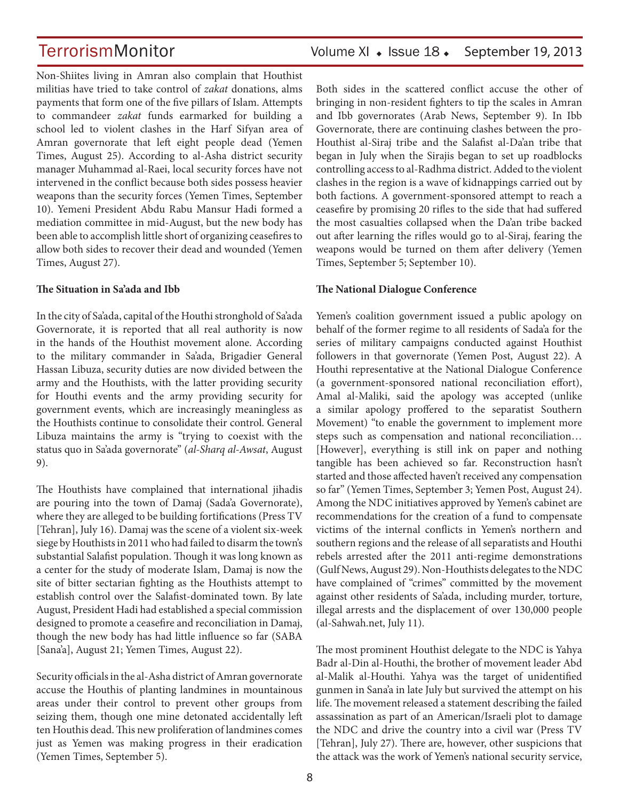Non-Shiites living in Amran also complain that Houthist militias have tried to take control of *zakat* donations, alms payments that form one of the five pillars of Islam. Attempts to commandeer *zakat* funds earmarked for building a school led to violent clashes in the Harf Sifyan area of Amran governorate that left eight people dead (Yemen Times, August 25). According to al-Asha district security manager Muhammad al-Raei, local security forces have not intervened in the conflict because both sides possess heavier weapons than the security forces (Yemen Times, September 10). Yemeni President Abdu Rabu Mansur Hadi formed a mediation committee in mid-August, but the new body has been able to accomplish little short of organizing ceasefires to allow both sides to recover their dead and wounded (Yemen Times, August 27).

### **The Situation in Sa'ada and Ibb**

In the city of Sa'ada, capital of the Houthi stronghold of Sa'ada Governorate, it is reported that all real authority is now in the hands of the Houthist movement alone. According to the military commander in Sa'ada, Brigadier General Hassan Libuza, security duties are now divided between the army and the Houthists, with the latter providing security for Houthi events and the army providing security for government events, which are increasingly meaningless as the Houthists continue to consolidate their control. General Libuza maintains the army is "trying to coexist with the status quo in Sa'ada governorate" (*al-Sharq al-Awsat*, August 9).

The Houthists have complained that international jihadis are pouring into the town of Damaj (Sada'a Governorate), where they are alleged to be building fortifications (Press TV [Tehran], July 16). Damaj was the scene of a violent six-week siege by Houthists in 2011 who had failed to disarm the town's substantial Salafist population. Though it was long known as a center for the study of moderate Islam, Damaj is now the site of bitter sectarian fighting as the Houthists attempt to establish control over the Salafist-dominated town. By late August, President Hadi had established a special commission designed to promote a ceasefire and reconciliation in Damaj, though the new body has had little influence so far (SABA [Sana'a], August 21; Yemen Times, August 22).

Security officials in the al-Asha district of Amran governorate accuse the Houthis of planting landmines in mountainous areas under their control to prevent other groups from seizing them, though one mine detonated accidentally left ten Houthis dead. This new proliferation of landmines comes just as Yemen was making progress in their eradication (Yemen Times, September 5).

Both sides in the scattered conflict accuse the other of bringing in non-resident fighters to tip the scales in Amran and Ibb governorates (Arab News, September 9). In Ibb Governorate, there are continuing clashes between the pro-Houthist al-Siraj tribe and the Salafist al-Da'an tribe that began in July when the Sirajis began to set up roadblocks controlling access to al-Radhma district. Added to the violent clashes in the region is a wave of kidnappings carried out by both factions. A government-sponsored attempt to reach a ceasefire by promising 20 rifles to the side that had suffered the most casualties collapsed when the Da'an tribe backed out after learning the rifles would go to al-Siraj, fearing the weapons would be turned on them after delivery (Yemen Times, September 5; September 10).

## **The National Dialogue Conference**

Yemen's coalition government issued a public apology on behalf of the former regime to all residents of Sada'a for the series of military campaigns conducted against Houthist followers in that governorate (Yemen Post, August 22). A Houthi representative at the National Dialogue Conference (a government-sponsored national reconciliation effort), Amal al-Maliki, said the apology was accepted (unlike a similar apology proffered to the separatist Southern Movement) "to enable the government to implement more steps such as compensation and national reconciliation… [However], everything is still ink on paper and nothing tangible has been achieved so far. Reconstruction hasn't started and those affected haven't received any compensation so far" (Yemen Times, September 3; Yemen Post, August 24). Among the NDC initiatives approved by Yemen's cabinet are recommendations for the creation of a fund to compensate victims of the internal conflicts in Yemen's northern and southern regions and the release of all separatists and Houthi rebels arrested after the 2011 anti-regime demonstrations (Gulf News, August 29). Non-Houthists delegates to the NDC have complained of "crimes" committed by the movement against other residents of Sa'ada, including murder, torture, illegal arrests and the displacement of over 130,000 people (al-Sahwah.net, July 11).

The most prominent Houthist delegate to the NDC is Yahya Badr al-Din al-Houthi, the brother of movement leader Abd al-Malik al-Houthi. Yahya was the target of unidentified gunmen in Sana'a in late July but survived the attempt on his life. The movement released a statement describing the failed assassination as part of an American/Israeli plot to damage the NDC and drive the country into a civil war (Press TV [Tehran], July 27). There are, however, other suspicions that the attack was the work of Yemen's national security service,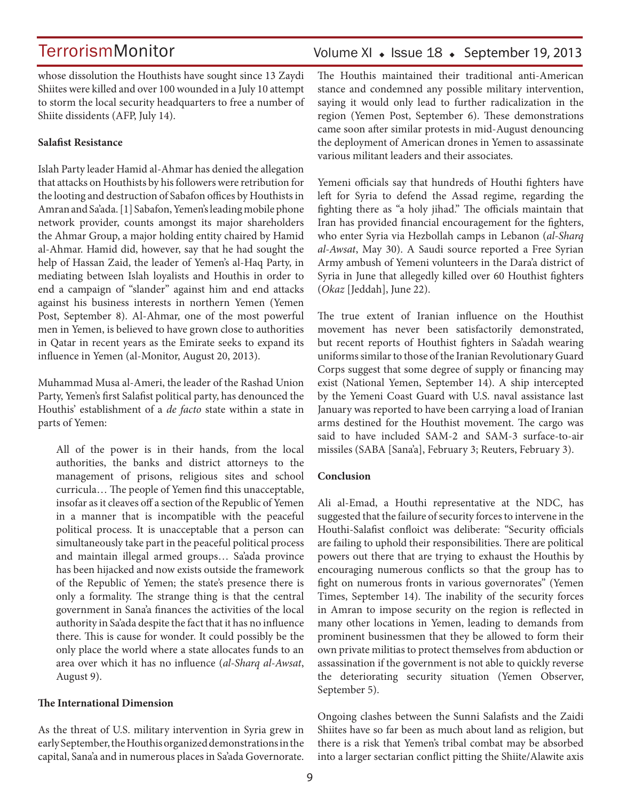whose dissolution the Houthists have sought since 13 Zaydi Shiites were killed and over 100 wounded in a July 10 attempt to storm the local security headquarters to free a number of Shiite dissidents (AFP, July 14).

### **Salafist Resistance**

Islah Party leader Hamid al-Ahmar has denied the allegation that attacks on Houthists by his followers were retribution for the looting and destruction of Sabafon offices by Houthists in Amran and Sa'ada. [1] Sabafon, Yemen's leading mobile phone network provider, counts amongst its major shareholders the Ahmar Group, a major holding entity chaired by Hamid al-Ahmar. Hamid did, however, say that he had sought the help of Hassan Zaid, the leader of Yemen's al-Haq Party, in mediating between Islah loyalists and Houthis in order to end a campaign of "slander" against him and end attacks against his business interests in northern Yemen (Yemen Post, September 8). Al-Ahmar, one of the most powerful men in Yemen, is believed to have grown close to authorities in Qatar in recent years as the Emirate seeks to expand its influence in Yemen (al-Monitor, August 20, 2013).

Muhammad Musa al-Ameri, the leader of the Rashad Union Party, Yemen's first Salafist political party, has denounced the Houthis' establishment of a *de facto* state within a state in parts of Yemen:

All of the power is in their hands, from the local authorities, the banks and district attorneys to the management of prisons, religious sites and school curricula… The people of Yemen find this unacceptable, insofar as it cleaves off a section of the Republic of Yemen in a manner that is incompatible with the peaceful political process. It is unacceptable that a person can simultaneously take part in the peaceful political process and maintain illegal armed groups… Sa'ada province has been hijacked and now exists outside the framework of the Republic of Yemen; the state's presence there is only a formality. The strange thing is that the central government in Sana'a finances the activities of the local authority in Sa'ada despite the fact that it has no influence there. This is cause for wonder. It could possibly be the only place the world where a state allocates funds to an area over which it has no influence (*al-Sharq al-Awsat*, August 9).

### **The International Dimension**

As the threat of U.S. military intervention in Syria grew in early September, the Houthis organized demonstrations in the capital, Sana'a and in numerous places in Sa'ada Governorate.

## Volume XI · Issue 18 · September 19, 2013

The Houthis maintained their traditional anti-American stance and condemned any possible military intervention, saying it would only lead to further radicalization in the region (Yemen Post, September 6). These demonstrations came soon after similar protests in mid-August denouncing the deployment of American drones in Yemen to assassinate various militant leaders and their associates.

Yemeni officials say that hundreds of Houthi fighters have left for Syria to defend the Assad regime, regarding the fighting there as "a holy jihad." The officials maintain that Iran has provided financial encouragement for the fighters, who enter Syria via Hezbollah camps in Lebanon (*al-Sharq al-Awsat*, May 30). A Saudi source reported a Free Syrian Army ambush of Yemeni volunteers in the Dara'a district of Syria in June that allegedly killed over 60 Houthist fighters (*Okaz* [Jeddah], June 22).

The true extent of Iranian influence on the Houthist movement has never been satisfactorily demonstrated, but recent reports of Houthist fighters in Sa'adah wearing uniforms similar to those of the Iranian Revolutionary Guard Corps suggest that some degree of supply or financing may exist (National Yemen, September 14). A ship intercepted by the Yemeni Coast Guard with U.S. naval assistance last January was reported to have been carrying a load of Iranian arms destined for the Houthist movement. The cargo was said to have included SAM-2 and SAM-3 surface-to-air missiles (SABA [Sana'a], February 3; Reuters, February 3).

### **Conclusion**

Ali al-Emad, a Houthi representative at the NDC, has suggested that the failure of security forces to intervene in the Houthi-Salafist confloict was deliberate: "Security officials are failing to uphold their responsibilities. There are political powers out there that are trying to exhaust the Houthis by encouraging numerous conflicts so that the group has to fight on numerous fronts in various governorates" (Yemen Times, September 14). The inability of the security forces in Amran to impose security on the region is reflected in many other locations in Yemen, leading to demands from prominent businessmen that they be allowed to form their own private militias to protect themselves from abduction or assassination if the government is not able to quickly reverse the deteriorating security situation (Yemen Observer, September 5).

Ongoing clashes between the Sunni Salafists and the Zaidi Shiites have so far been as much about land as religion, but there is a risk that Yemen's tribal combat may be absorbed into a larger sectarian conflict pitting the Shiite/Alawite axis